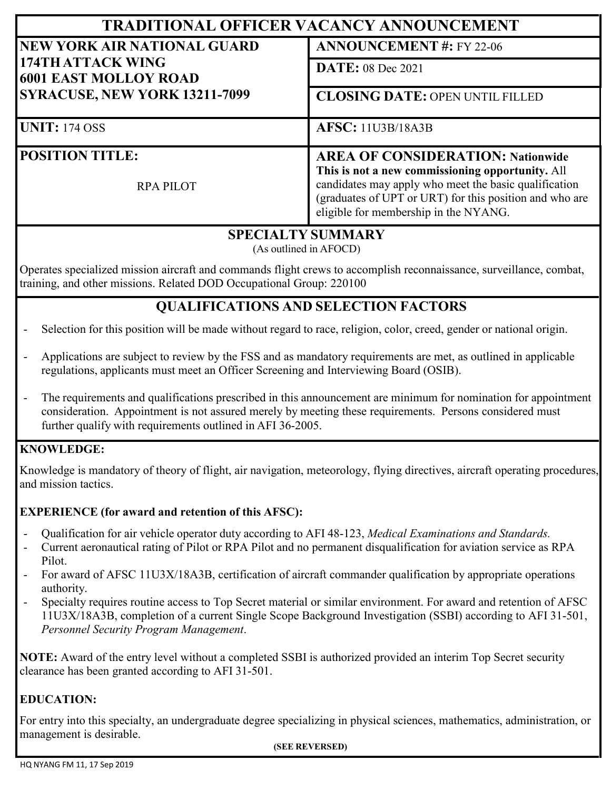| <b>TRADITIONAL OFFICER VACANCY ANNOUNCEMENT</b>                                                                                 |                                                                                                                                                                                                                                                           |
|---------------------------------------------------------------------------------------------------------------------------------|-----------------------------------------------------------------------------------------------------------------------------------------------------------------------------------------------------------------------------------------------------------|
| <b>NEW YORK AIR NATIONAL GUARD</b><br>174TH ATTACK WING<br><b>6001 EAST MOLLOY ROAD</b><br><b>SYRACUSE, NEW YORK 13211-7099</b> | <b>ANNOUNCEMENT #: FY 22-06</b>                                                                                                                                                                                                                           |
|                                                                                                                                 | <b>DATE:</b> 08 Dec 2021                                                                                                                                                                                                                                  |
|                                                                                                                                 | <b>CLOSING DATE: OPEN UNTIL FILLED</b>                                                                                                                                                                                                                    |
| <b>UNIT: 174 OSS</b>                                                                                                            | <b>AFSC: 11U3B/18A3B</b>                                                                                                                                                                                                                                  |
| <b>POSITION TITLE:</b><br><b>RPA PILOT</b>                                                                                      | <b>AREA OF CONSIDERATION: Nationwide</b><br>This is not a new commissioning opportunity. All<br>candidates may apply who meet the basic qualification<br>(graduates of UPT or URT) for this position and who are<br>eligible for membership in the NYANG. |

## **SPECIALTY SUMMARY**

(As outlined in AFOCD)

Operates specialized mission aircraft and commands flight crews to accomplish reconnaissance, surveillance, combat, training, and other missions. Related DOD Occupational Group: 220100

# **QUALIFICATIONS AND SELECTION FACTORS**

Selection for this position will be made without regard to race, religion, color, creed, gender or national origin.

- Applications are subject to review by the FSS and as mandatory requirements are met, as outlined in applicable regulations, applicants must meet an Officer Screening and Interviewing Board (OSIB).
- The requirements and qualifications prescribed in this announcement are minimum for nomination for appointment consideration. Appointment is not assured merely by meeting these requirements. Persons considered must further qualify with requirements outlined in AFI 36-2005.

#### **KNOWLEDGE:**

Knowledge is mandatory of theory of flight, air navigation, meteorology, flying directives, aircraft operating procedures, and mission tactics.

#### **EXPERIENCE (for award and retention of this AFSC):**

- Qualification for air vehicle operator duty according to AFI 48-123, *Medical Examinations and Standards.*
- Current aeronautical rating of Pilot or RPA Pilot and no permanent disqualification for aviation service as RPA Pilot.
- For award of AFSC 11U3X/18A3B, certification of aircraft commander qualification by appropriate operations authority.
- Specialty requires routine access to Top Secret material or similar environment. For award and retention of AFSC 11U3X/18A3B, completion of a current Single Scope Background Investigation (SSBI) according to AFI 31-501, *Personnel Security Program Management*.

**NOTE:** Award of the entry level without a completed SSBI is authorized provided an interim Top Secret security clearance has been granted according to AFI 31-501.

#### **EDUCATION:**

For entry into this specialty, an undergraduate degree specializing in physical sciences, mathematics, administration, or management is desirable.

#### **(SEE REVERSED)**